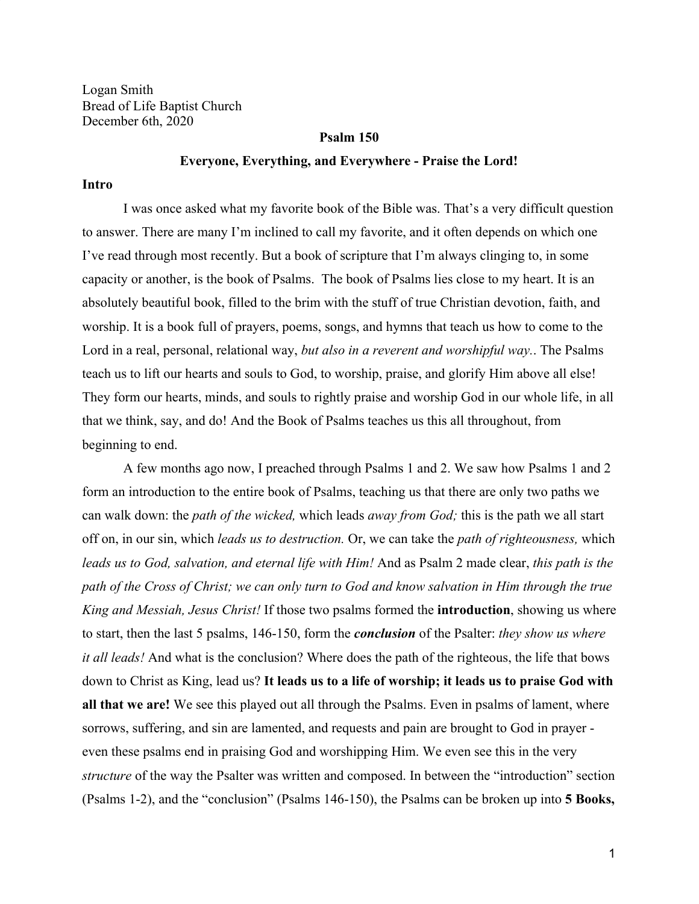Logan Smith Bread of Life Baptist Church December 6th, 2020

#### **Psalm 150**

#### **Everyone, Everything, and Everywhere - Praise the Lord!**

### **Intro**

I was once asked what my favorite book of the Bible was. That's a very difficult question to answer. There are many I'm inclined to call my favorite, and it often depends on which one I've read through most recently. But a book of scripture that I'm always clinging to, in some capacity or another, is the book of Psalms. The book of Psalms lies close to my heart. It is an absolutely beautiful book, filled to the brim with the stuff of true Christian devotion, faith, and worship. It is a book full of prayers, poems, songs, and hymns that teach us how to come to the Lord in a real, personal, relational way, *but also in a reverent and worshipful way.*. The Psalms teach us to lift our hearts and souls to God, to worship, praise, and glorify Him above all else! They form our hearts, minds, and souls to rightly praise and worship God in our whole life, in all that we think, say, and do! And the Book of Psalms teaches us this all throughout, from beginning to end.

A few months ago now, I preached through Psalms 1 and 2. We saw how Psalms 1 and 2 form an introduction to the entire book of Psalms, teaching us that there are only two paths we can walk down: the *path of the wicked,* which leads *away from God;* this is the path we all start off on, in our sin, which *leads us to destruction.* Or, we can take the *path of righteousness,* which *leads us to God, salvation, and eternal life with Him!* And as Psalm 2 made clear, *this path is the path of the Cross of Christ; we can only turn to God and know salvation in Him through the true King and Messiah, Jesus Christ!* If those two psalms formed the **introduction**, showing us where to start, then the last 5 psalms, 146-150, form the *conclusion* of the Psalter: *they show us where it all leads!* And what is the conclusion? Where does the path of the righteous, the life that bows down to Christ as King, lead us? **It leads us to a life of worship; it leads us to praise God with all that we are!** We see this played out all through the Psalms. Even in psalms of lament, where sorrows, suffering, and sin are lamented, and requests and pain are brought to God in prayer even these psalms end in praising God and worshipping Him. We even see this in the very *structure* of the way the Psalter was written and composed. In between the "introduction" section (Psalms 1-2), and the "conclusion" (Psalms 146-150), the Psalms can be broken up into **5 Books,**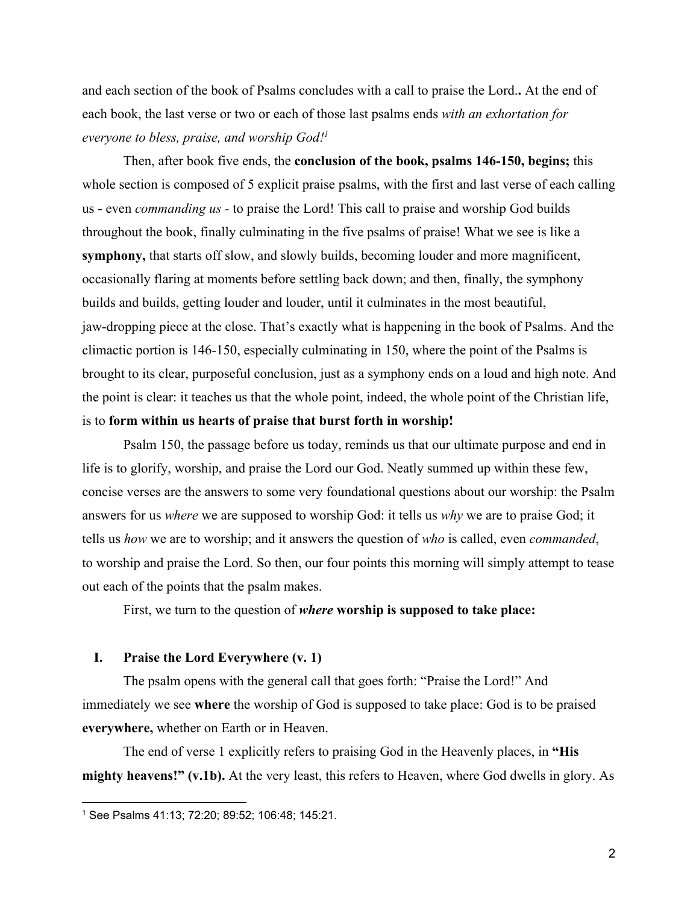and each section of the book of Psalms concludes with a call to praise the Lord.**.** At the end of each book, the last verse or two or each of those last psalms ends *with an exhortation for everyone to bless, praise, and worship God!<sup>1</sup>*

Then, after book five ends, the **conclusion of the book, psalms 146-150, begins;** this whole section is composed of 5 explicit praise psalms, with the first and last verse of each calling us - even *commanding us -* to praise the Lord! This call to praise and worship God builds throughout the book, finally culminating in the five psalms of praise! What we see is like a **symphony,** that starts off slow, and slowly builds, becoming louder and more magnificent, occasionally flaring at moments before settling back down; and then, finally, the symphony builds and builds, getting louder and louder, until it culminates in the most beautiful, jaw-dropping piece at the close. That's exactly what is happening in the book of Psalms. And the climactic portion is 146-150, especially culminating in 150, where the point of the Psalms is brought to its clear, purposeful conclusion, just as a symphony ends on a loud and high note. And the point is clear: it teaches us that the whole point, indeed, the whole point of the Christian life, is to **form within us hearts of praise that burst forth in worship!**

Psalm 150, the passage before us today, reminds us that our ultimate purpose and end in life is to glorify, worship, and praise the Lord our God. Neatly summed up within these few, concise verses are the answers to some very foundational questions about our worship: the Psalm answers for us *where* we are supposed to worship God: it tells us *why* we are to praise God; it tells us *how* we are to worship; and it answers the question of *who* is called, even *commanded*, to worship and praise the Lord. So then, our four points this morning will simply attempt to tease out each of the points that the psalm makes.

First, we turn to the question of *where* **worship is supposed to take place:**

## **I. Praise the Lord Everywhere (v. 1)**

The psalm opens with the general call that goes forth: "Praise the Lord!" And immediately we see **where** the worship of God is supposed to take place: God is to be praised **everywhere,** whether on Earth or in Heaven.

The end of verse 1 explicitly refers to praising God in the Heavenly places, in **"His mighty heavens!" (v.1b).** At the very least, this refers to Heaven, where God dwells in glory. As

<sup>1</sup> See Psalms 41:13; 72:20; 89:52; 106:48; 145:21.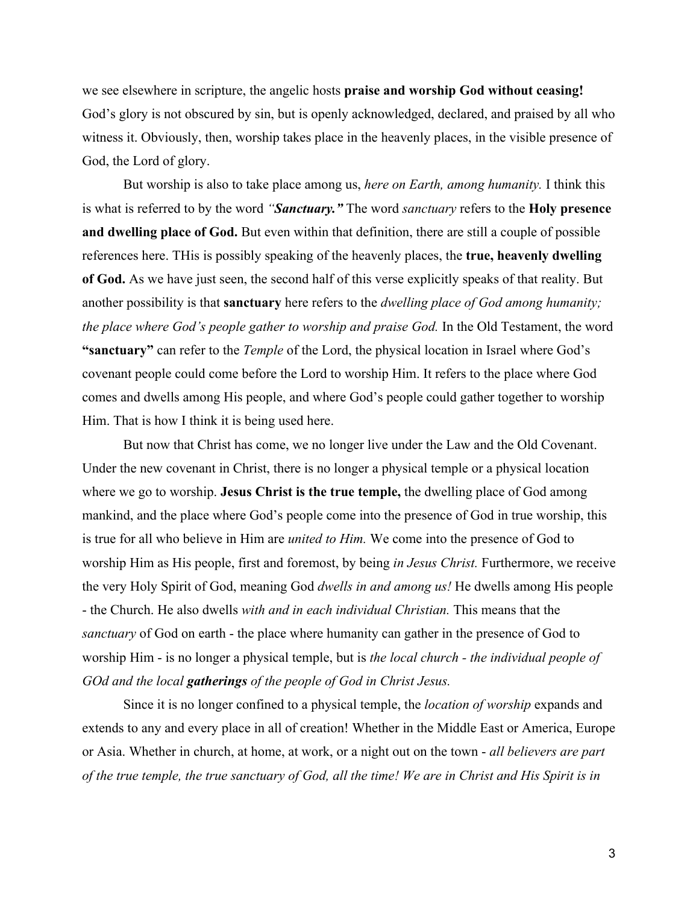we see elsewhere in scripture, the angelic hosts **praise and worship God without ceasing!** God's glory is not obscured by sin, but is openly acknowledged, declared, and praised by all who witness it. Obviously, then, worship takes place in the heavenly places, in the visible presence of God, the Lord of glory.

But worship is also to take place among us, *here on Earth, among humanity.* I think this is what is referred to by the word *"Sanctuary."* The word *sanctuary* refers to the **Holy presence and dwelling place of God.** But even within that definition, there are still a couple of possible references here. THis is possibly speaking of the heavenly places, the **true, heavenly dwelling of God.** As we have just seen, the second half of this verse explicitly speaks of that reality. But another possibility is that **sanctuary** here refers to the *dwelling place of God among humanity; the place where God's people gather to worship and praise God.* In the Old Testament, the word **"sanctuary"** can refer to the *Temple* of the Lord, the physical location in Israel where God's covenant people could come before the Lord to worship Him. It refers to the place where God comes and dwells among His people, and where God's people could gather together to worship Him. That is how I think it is being used here.

But now that Christ has come, we no longer live under the Law and the Old Covenant. Under the new covenant in Christ, there is no longer a physical temple or a physical location where we go to worship. **Jesus Christ is the true temple,** the dwelling place of God among mankind, and the place where God's people come into the presence of God in true worship, this is true for all who believe in Him are *united to Him.* We come into the presence of God to worship Him as His people, first and foremost, by being *in Jesus Christ.* Furthermore, we receive the very Holy Spirit of God, meaning God *dwells in and among us!* He dwells among His people - the Church. He also dwells *with and in each individual Christian.* This means that the *sanctuary* of God on earth - the place where humanity can gather in the presence of God to worship Him - is no longer a physical temple, but is *the local church - the individual people of GOd and the local gatherings of the people of God in Christ Jesus.*

Since it is no longer confined to a physical temple, the *location of worship* expands and extends to any and every place in all of creation! Whether in the Middle East or America, Europe or Asia. Whether in church, at home, at work, or a night out on the town - *all believers are part of the true temple, the true sanctuary of God, all the time! We are in Christ and His Spirit is in*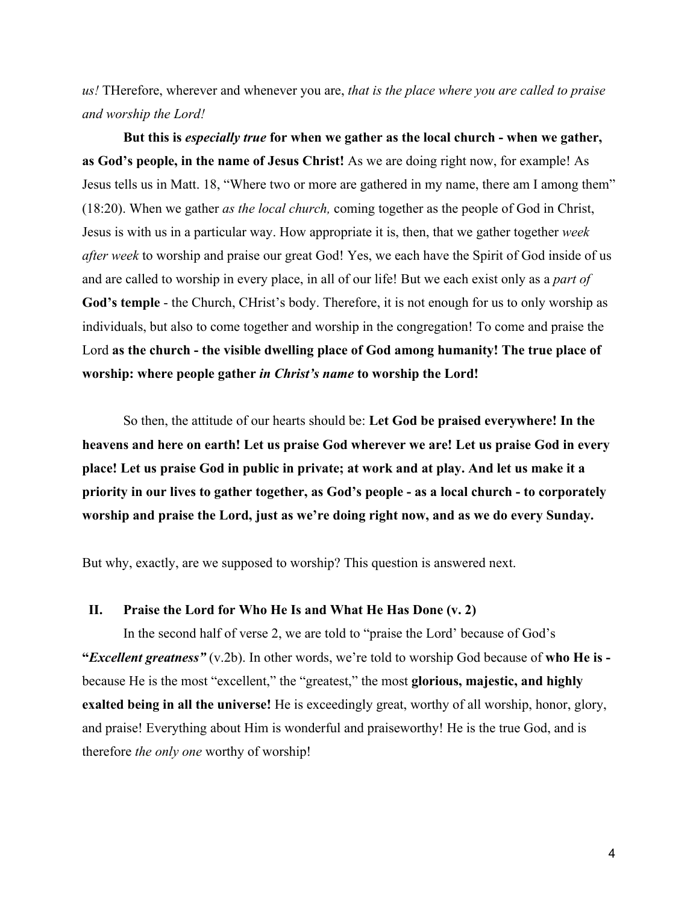*us!* THerefore, wherever and whenever you are, *that is the place where you are called to praise and worship the Lord!*

**But this is** *especially true* **for when we gather as the local church - when we gather, as God's people, in the name of Jesus Christ!** As we are doing right now, for example! As Jesus tells us in Matt. 18, "Where two or more are gathered in my name, there am I among them" (18:20). When we gather *as the local church,* coming together as the people of God in Christ, Jesus is with us in a particular way. How appropriate it is, then, that we gather together *week after week* to worship and praise our great God! Yes, we each have the Spirit of God inside of us and are called to worship in every place, in all of our life! But we each exist only as a *part of* **God's temple** - the Church, CHrist's body. Therefore, it is not enough for us to only worship as individuals, but also to come together and worship in the congregation! To come and praise the Lord **as the church - the visible dwelling place of God among humanity! The true place of worship: where people gather** *in Christ's name* **to worship the Lord!**

So then, the attitude of our hearts should be: **Let God be praised everywhere! In the heavens and here on earth! Let us praise God wherever we are! Let us praise God in every place! Let us praise God in public in private; at work and at play. And let us make it a priority in our lives to gather together, as God's people - as a local church - to corporately worship and praise the Lord, just as we're doing right now, and as we do every Sunday.**

But why, exactly, are we supposed to worship? This question is answered next.

# **II. Praise the Lord for Who He Is and What He Has Done (v. 2)**

In the second half of verse 2, we are told to "praise the Lord' because of God's **"***Excellent greatness"* (v.2b). In other words, we're told to worship God because of **who He is**  because He is the most "excellent," the "greatest," the most **glorious, majestic, and highly exalted being in all the universe!** He is exceedingly great, worthy of all worship, honor, glory, and praise! Everything about Him is wonderful and praiseworthy! He is the true God, and is therefore *the only one* worthy of worship!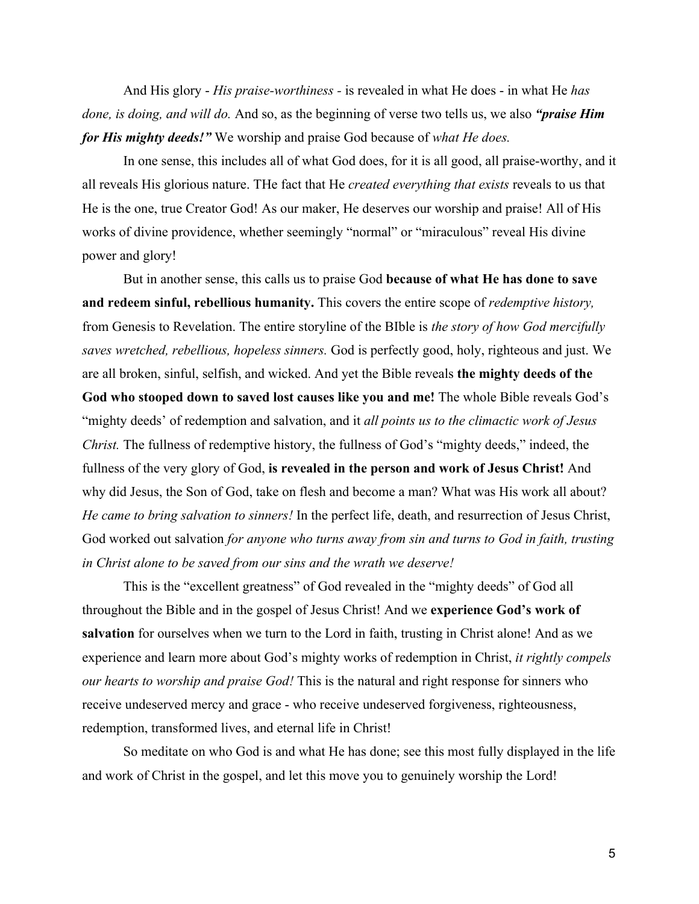And His glory - *His praise-worthiness -* is revealed in what He does - in what He *has done, is doing, and will do.* And so, as the beginning of verse two tells us, we also *"praise Him for His mighty deeds!"* We worship and praise God because of *what He does.*

In one sense, this includes all of what God does, for it is all good, all praise-worthy, and it all reveals His glorious nature. THe fact that He *created everything that exists* reveals to us that He is the one, true Creator God! As our maker, He deserves our worship and praise! All of His works of divine providence, whether seemingly "normal" or "miraculous" reveal His divine power and glory!

But in another sense, this calls us to praise God **because of what He has done to save and redeem sinful, rebellious humanity.** This covers the entire scope of *redemptive history,* from Genesis to Revelation. The entire storyline of the BIble is *the story of how God mercifully saves wretched, rebellious, hopeless sinners.* God is perfectly good, holy, righteous and just. We are all broken, sinful, selfish, and wicked. And yet the Bible reveals **the mighty deeds of the God who stooped down to saved lost causes like you and me!** The whole Bible reveals God's "mighty deeds' of redemption and salvation, and it *all points us to the climactic work of Jesus Christ.* The fullness of redemptive history, the fullness of God's "mighty deeds," indeed, the fullness of the very glory of God, **is revealed in the person and work of Jesus Christ!** And why did Jesus, the Son of God, take on flesh and become a man? What was His work all about? *He came to bring salvation to sinners!* In the perfect life, death, and resurrection of Jesus Christ, God worked out salvation *for anyone who turns away from sin and turns to God in faith, trusting in Christ alone to be saved from our sins and the wrath we deserve!*

This is the "excellent greatness" of God revealed in the "mighty deeds" of God all throughout the Bible and in the gospel of Jesus Christ! And we **experience God's work of salvation** for ourselves when we turn to the Lord in faith, trusting in Christ alone! And as we experience and learn more about God's mighty works of redemption in Christ, *it rightly compels our hearts to worship and praise God!* This is the natural and right response for sinners who receive undeserved mercy and grace - who receive undeserved forgiveness, righteousness, redemption, transformed lives, and eternal life in Christ!

So meditate on who God is and what He has done; see this most fully displayed in the life and work of Christ in the gospel, and let this move you to genuinely worship the Lord!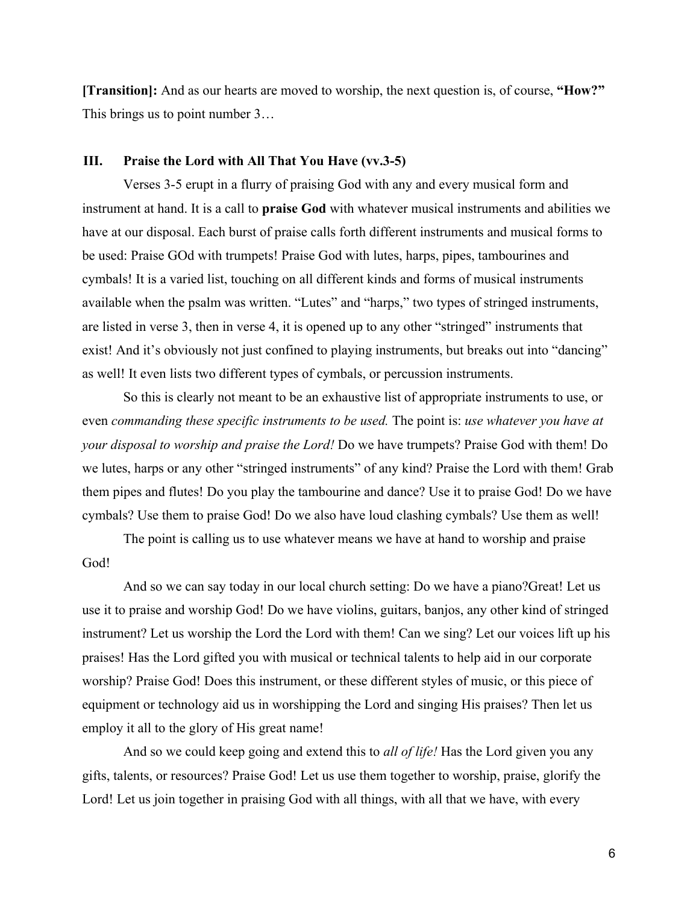**[Transition]:** And as our hearts are moved to worship, the next question is, of course, **"How?"** This brings us to point number 3…

### **III. Praise the Lord with All That You Have (vv.3-5)**

Verses 3-5 erupt in a flurry of praising God with any and every musical form and instrument at hand. It is a call to **praise God** with whatever musical instruments and abilities we have at our disposal. Each burst of praise calls forth different instruments and musical forms to be used: Praise GOd with trumpets! Praise God with lutes, harps, pipes, tambourines and cymbals! It is a varied list, touching on all different kinds and forms of musical instruments available when the psalm was written. "Lutes" and "harps," two types of stringed instruments, are listed in verse 3, then in verse 4, it is opened up to any other "stringed" instruments that exist! And it's obviously not just confined to playing instruments, but breaks out into "dancing" as well! It even lists two different types of cymbals, or percussion instruments.

So this is clearly not meant to be an exhaustive list of appropriate instruments to use, or even *commanding these specific instruments to be used.* The point is: *use whatever you have at your disposal to worship and praise the Lord!* Do we have trumpets? Praise God with them! Do we lutes, harps or any other "stringed instruments" of any kind? Praise the Lord with them! Grab them pipes and flutes! Do you play the tambourine and dance? Use it to praise God! Do we have cymbals? Use them to praise God! Do we also have loud clashing cymbals? Use them as well!

The point is calling us to use whatever means we have at hand to worship and praise God!

And so we can say today in our local church setting: Do we have a piano?Great! Let us use it to praise and worship God! Do we have violins, guitars, banjos, any other kind of stringed instrument? Let us worship the Lord the Lord with them! Can we sing? Let our voices lift up his praises! Has the Lord gifted you with musical or technical talents to help aid in our corporate worship? Praise God! Does this instrument, or these different styles of music, or this piece of equipment or technology aid us in worshipping the Lord and singing His praises? Then let us employ it all to the glory of His great name!

And so we could keep going and extend this to *all of life!* Has the Lord given you any gifts, talents, or resources? Praise God! Let us use them together to worship, praise, glorify the Lord! Let us join together in praising God with all things, with all that we have, with every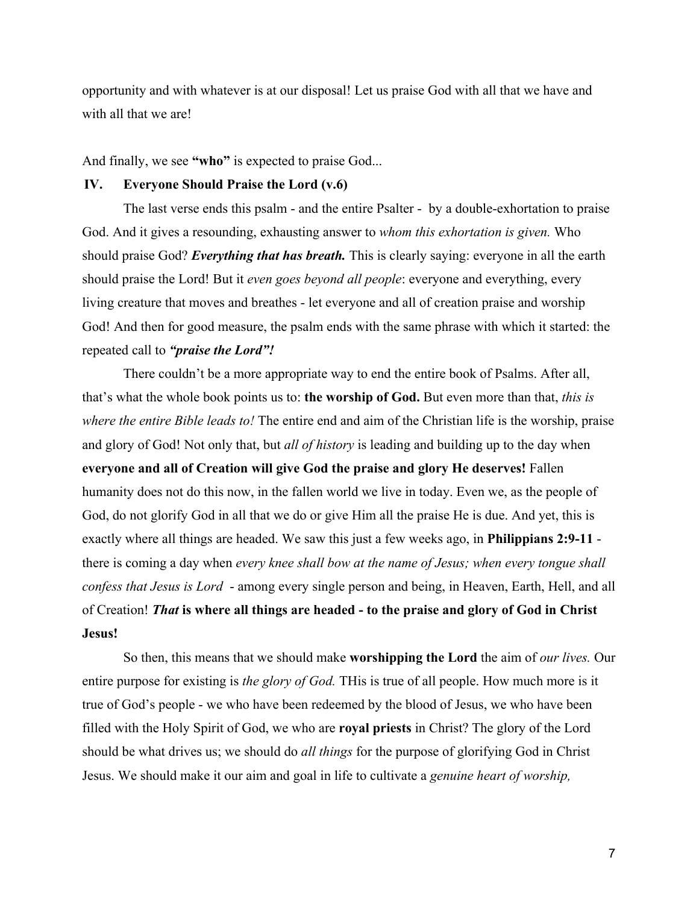opportunity and with whatever is at our disposal! Let us praise God with all that we have and with all that we are!

And finally, we see **"who"** is expected to praise God...

## **IV. Everyone Should Praise the Lord (v.6)**

The last verse ends this psalm - and the entire Psalter - by a double-exhortation to praise God. And it gives a resounding, exhausting answer to *whom this exhortation is given.* Who should praise God? *Everything that has breath.* This is clearly saying: everyone in all the earth should praise the Lord! But it *even goes beyond all people*: everyone and everything, every living creature that moves and breathes - let everyone and all of creation praise and worship God! And then for good measure, the psalm ends with the same phrase with which it started: the repeated call to *"praise the Lord"!*

There couldn't be a more appropriate way to end the entire book of Psalms. After all, that's what the whole book points us to: **the worship of God.** But even more than that, *this is where the entire Bible leads to!* The entire end and aim of the Christian life is the worship, praise and glory of God! Not only that, but *all of history* is leading and building up to the day when **everyone and all of Creation will give God the praise and glory He deserves!** Fallen humanity does not do this now, in the fallen world we live in today. Even we, as the people of God, do not glorify God in all that we do or give Him all the praise He is due. And yet, this is exactly where all things are headed. We saw this just a few weeks ago, in **Philippians 2:9-11**  there is coming a day when *every knee shall bow at the name of Jesus; when every tongue shall confess that Jesus is Lord* - among every single person and being, in Heaven, Earth, Hell, and all of Creation! *That* **is where all things are headed - to the praise and glory of God in Christ Jesus!**

So then, this means that we should make **worshipping the Lord** the aim of *our lives.* Our entire purpose for existing is *the glory of God.* THis is true of all people. How much more is it true of God's people - we who have been redeemed by the blood of Jesus, we who have been filled with the Holy Spirit of God, we who are **royal priests** in Christ? The glory of the Lord should be what drives us; we should do *all things* for the purpose of glorifying God in Christ Jesus. We should make it our aim and goal in life to cultivate a *genuine heart of worship,*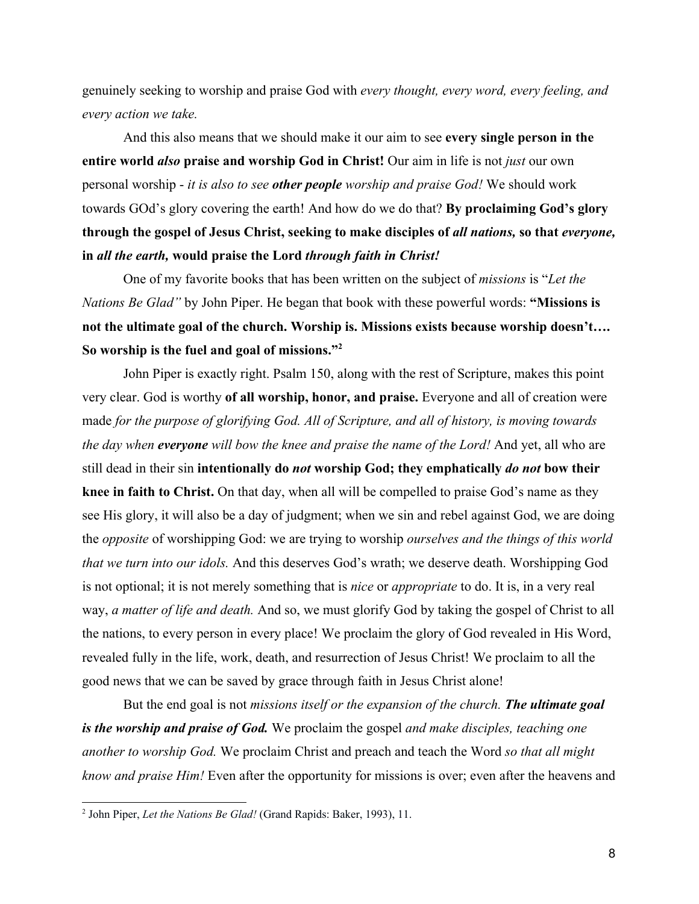genuinely seeking to worship and praise God with *every thought, every word, every feeling, and every action we take.*

And this also means that we should make it our aim to see **every single person in the entire world** *also* **praise and worship God in Christ!** Our aim in life is not *just* our own personal worship - *it is also to see other people worship and praise God!* We should work towards GOd's glory covering the earth! And how do we do that? **By proclaiming God's glory through the gospel of Jesus Christ, seeking to make disciples of** *all nations,* **so that** *everyone,* **in** *all the earth,* **would praise the Lord** *through faith in Christ!*

One of my favorite books that has been written on the subject of *missions* is "*Let the Nations Be Glad"* by John Piper. He began that book with these powerful words: **"Missions is not the ultimate goal of the church. Worship is. Missions exists because worship doesn't…. So worship is the fuel and goal of missions."<sup>2</sup>**

John Piper is exactly right. Psalm 150, along with the rest of Scripture, makes this point very clear. God is worthy **of all worship, honor, and praise.** Everyone and all of creation were made *for the purpose of glorifying God. All of Scripture, and all of history, is moving towards the day when everyone will bow the knee and praise the name of the Lord!* And yet, all who are still dead in their sin **intentionally do** *not* **worship God; they emphatically** *do not* **bow their knee in faith to Christ.** On that day, when all will be compelled to praise God's name as they see His glory, it will also be a day of judgment; when we sin and rebel against God, we are doing the *opposite* of worshipping God: we are trying to worship *ourselves and the things of this world that we turn into our idols.* And this deserves God's wrath; we deserve death. Worshipping God is not optional; it is not merely something that is *nice* or *appropriate* to do. It is, in a very real way, *a matter of life and death.* And so, we must glorify God by taking the gospel of Christ to all the nations, to every person in every place! We proclaim the glory of God revealed in His Word, revealed fully in the life, work, death, and resurrection of Jesus Christ! We proclaim to all the good news that we can be saved by grace through faith in Jesus Christ alone!

But the end goal is not *missions itself or the expansion of the church. The ultimate goal is the worship and praise of God.* We proclaim the gospel *and make disciples, teaching one another to worship God.* We proclaim Christ and preach and teach the Word *so that all might know and praise Him!* Even after the opportunity for missions is over; even after the heavens and

<sup>2</sup> John Piper, *Let the Nations Be Glad!* (Grand Rapids: Baker, 1993), 11.